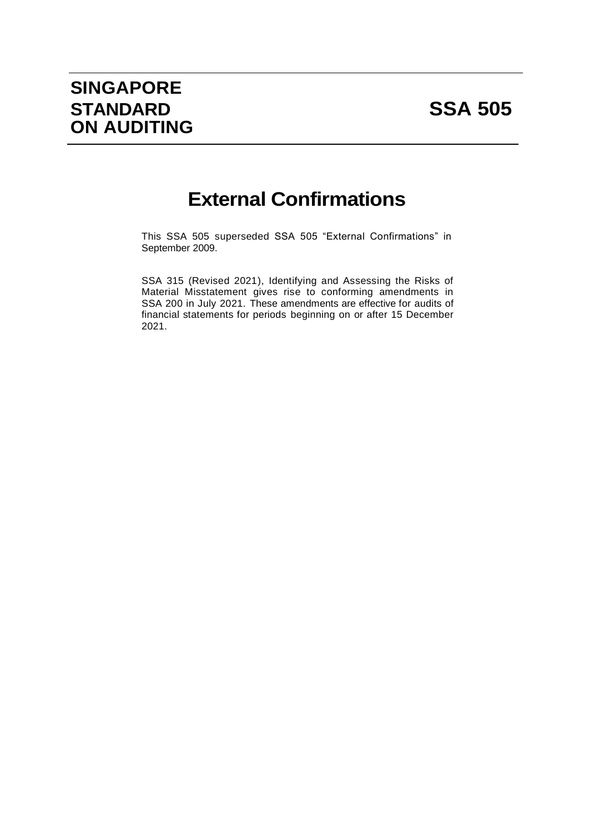# **External Confirmations**

This SSA 505 superseded SSA 505 "External Confirmations" in September 2009.

SSA 315 (Revised 2021), Identifying and Assessing the Risks of Material Misstatement gives rise to conforming amendments in SSA 200 in July 2021. These amendments are effective for audits of financial statements for periods beginning on or after 15 December 2021.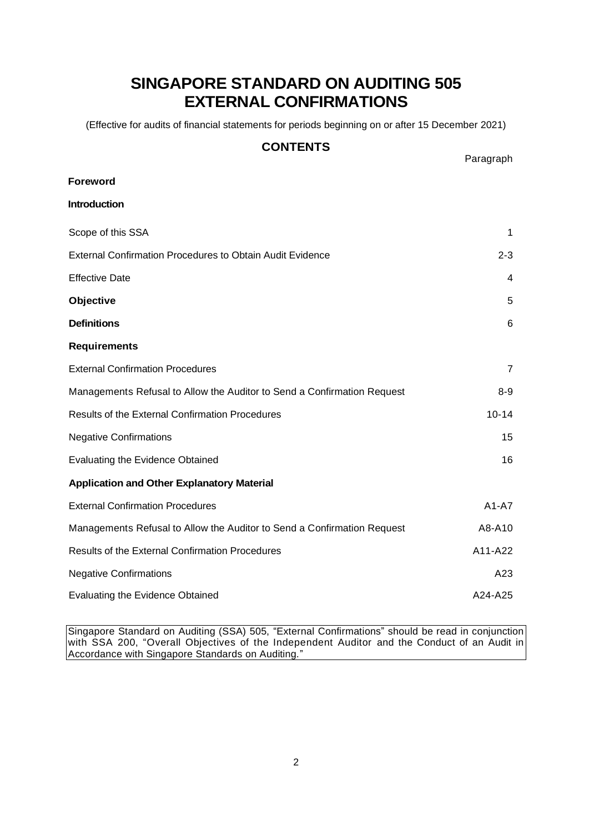# **SINGAPORE STANDARD ON AUDITING 505 EXTERNAL CONFIRMATIONS**

(Effective for audits of financial statements for periods beginning on or after 15 December 2021)

#### **CONTENTS**

Paragraph

| 1              |
|----------------|
| $2 - 3$        |
| $\overline{4}$ |
| 5              |
| 6              |
|                |
| $\overline{7}$ |
| $8-9$          |
| $10 - 14$      |
| 15             |
| 16             |
|                |
| $A1-A7$        |
| A8-A10         |
| A11-A22        |
| A23            |
| A24-A25        |
|                |

Singapore Standard on Auditing (SSA) 505, "External Confirmations" should be read in conjunction with SSA 200, "Overall Objectives of the Independent Auditor and the Conduct of an Audit in Accordance with Singapore Standards on Auditing."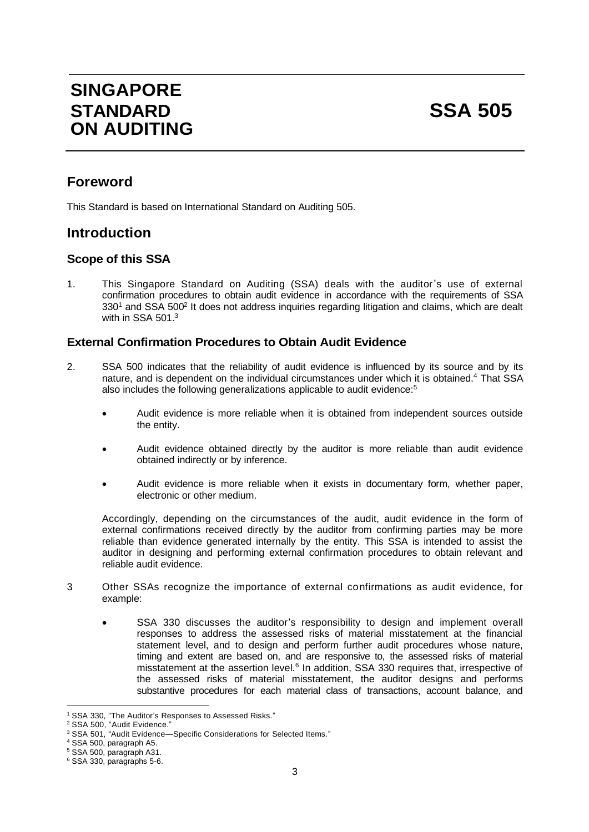# **SINGAPORE STANDARD SSA 505 ON AUDITING**

# **Foreword**

This Standard is based on International Standard on Auditing 505.

# **Introduction**

### **Scope of this SSA**

1. This Singapore Standard on Auditing (SSA) deals with the auditor's use of external confirmation procedures to obtain audit evidence in accordance with the requirements of SSA  $330<sup>1</sup>$  and SSA 500<sup>2</sup> It does not address inquiries regarding litigation and claims, which are dealt with in SSA 501.3

### **External Confirmation Procedures to Obtain Audit Evidence**

- 2. SSA 500 indicates that the reliability of audit evidence is influenced by its source and by its nature, and is dependent on the individual circumstances under which it is obtained.<sup>4</sup> That SSA also includes the following generalizations applicable to audit evidence:<sup>5</sup>
	- Audit evidence is more reliable when it is obtained from independent sources outside the entity.
	- Audit evidence obtained directly by the auditor is more reliable than audit evidence obtained indirectly or by inference.
	- Audit evidence is more reliable when it exists in documentary form, whether paper, electronic or other medium.

Accordingly, depending on the circumstances of the audit, audit evidence in the form of external confirmations received directly by the auditor from confirming parties may be more reliable than evidence generated internally by the entity. This SSA is intended to assist the auditor in designing and performing external confirmation procedures to obtain relevant and reliable audit evidence.

- 3. Other SSAs recognize the importance of external confirmations as audit evidence, for example:
	- SSA 330 discusses the auditor's responsibility to design and implement overall responses to address the assessed risks of material misstatement at the financial statement level, and to design and perform further audit procedures whose nature, timing and extent are based on, and are responsive to, the assessed risks of material misstatement at the assertion level.<sup>6</sup> In addition, SSA 330 requires that, irrespective of the assessed risks of material misstatement, the auditor designs and performs substantive procedures for each material class of transactions, account balance, and

<sup>&</sup>lt;sup>1</sup> SSA 330, "The Auditor's Responses to Assessed Risks."

<sup>&</sup>lt;sup>2</sup> SSA 500, "Audit Evidence."

<sup>3</sup> SSA 501, "Audit Evidence—Specific Considerations for Selected Items."

<sup>4</sup> SSA 500, paragraph A5.

<sup>5</sup> SSA 500, paragraph A31.

<sup>6</sup> SSA 330, paragraphs 5-6.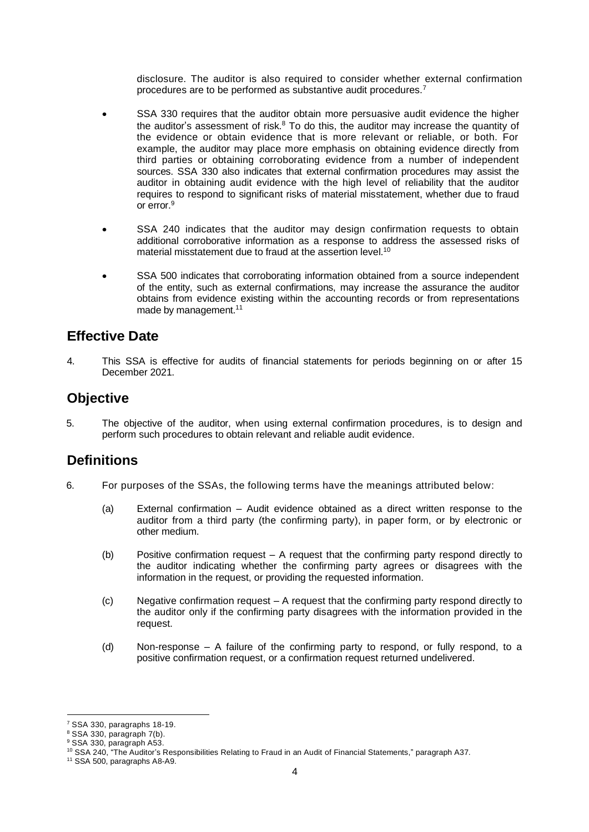disclosure. The auditor is also required to consider whether external confirmation procedures are to be performed as substantive audit procedures.<sup>7</sup>

- SSA 330 requires that the auditor obtain more persuasive audit evidence the higher the auditor's assessment of risk. $8$  To do this, the auditor may increase the quantity of the evidence or obtain evidence that is more relevant or reliable, or both. For example, the auditor may place more emphasis on obtaining evidence directly from third parties or obtaining corroborating evidence from a number of independent sources. SSA 330 also indicates that external confirmation procedures may assist the auditor in obtaining audit evidence with the high level of reliability that the auditor requires to respond to significant risks of material misstatement, whether due to fraud or error.<sup>9</sup>
- SSA 240 indicates that the auditor may design confirmation requests to obtain additional corroborative information as a response to address the assessed risks of material misstatement due to fraud at the assertion level.<sup>10</sup>
- SSA 500 indicates that corroborating information obtained from a source independent of the entity, such as external confirmations, may increase the assurance the auditor obtains from evidence existing within the accounting records or from representations made by management.<sup>11</sup>

# **Effective Date**

4. This SSA is effective for audits of financial statements for periods beginning on or after 15 December 2021.

### **Objective**

5. The objective of the auditor, when using external confirmation procedures, is to design and perform such procedures to obtain relevant and reliable audit evidence.

# **Definitions**

- 6. For purposes of the SSAs, the following terms have the meanings attributed below:
	- (a) External confirmation Audit evidence obtained as a direct written response to the auditor from a third party (the confirming party), in paper form, or by electronic or other medium.
	- (b) Positive confirmation request A request that the confirming party respond directly to the auditor indicating whether the confirming party agrees or disagrees with the information in the request, or providing the requested information.
	- (c) Negative confirmation request A request that the confirming party respond directly to the auditor only if the confirming party disagrees with the information provided in the request.
	- (d) Non-response A failure of the confirming party to respond, or fully respond, to a positive confirmation request, or a confirmation request returned undelivered.

<sup>7</sup> SSA 330, paragraphs 18-19.

<sup>&</sup>lt;sup>8</sup> SSA 330, paragraph 7(b).

<sup>9</sup> SSA 330, paragraph A53.

<sup>10</sup> SSA 240, "The Auditor's Responsibilities Relating to Fraud in an Audit of Financial Statements," paragraph A37.

<sup>11</sup> SSA 500, paragraphs A8-A9.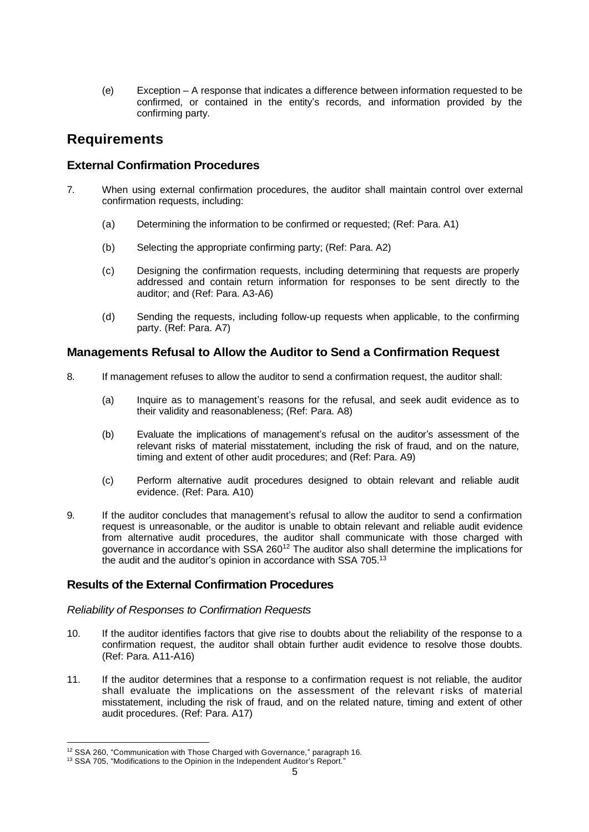(e) Exception – A response that indicates a difference between information requested to be confirmed, or contained in the entity's records, and information provided by the confirming party.

# **Requirements**

### **External Confirmation Procedures**

- 7. When using external confirmation procedures, the auditor shall maintain control over external confirmation requests, including:
	- (a) Determining the information to be confirmed or requested; (Ref: Para. A1)
	- (b) Selecting the appropriate confirming party; (Ref: Para. A2)
	- (c) Designing the confirmation requests, including determining that requests are properly addressed and contain return information for responses to be sent directly to the auditor; and (Ref: Para. A3-A6)
	- (d) Sending the requests, including follow-up requests when applicable, to the confirming party. (Ref: Para. A7)

### **Management's Refusal to Allow the Auditor to Send a Confirmation Request**

- 8. If management refuses to allow the auditor to send a confirmation request, the auditor shall:
	- (a) Inquire as to management's reasons for the refusal, and seek audit evidence as to their validity and reasonableness; (Ref: Para. A8)
	- (b) Evaluate the implications of management's refusal on the auditor's assessment of the relevant risks of material misstatement, including the risk of fraud, and on the nature, timing and extent of other audit procedures; and (Ref: Para. A9)
	- (c) Perform alternative audit procedures designed to obtain relevant and reliable audit evidence. (Ref: Para. A10)
- 9. If the auditor concludes that management's refusal to allow the auditor to send a confirmation request is unreasonable, or the auditor is unable to obtain relevant and reliable audit evidence from alternative audit procedures, the auditor shall communicate with those charged with governance in accordance with SSA  $260^{12}$  The auditor also shall determine the implications for the audit and the auditor's opinion in accordance with SSA 705.<sup>13</sup>

### **Results of the External Confirmation Procedures**

#### *Reliability of Responses to Confirmation Requests*

- 10. If the auditor identifies factors that give rise to doubts about the reliability of the response to a confirmation request, the auditor shall obtain further audit evidence to resolve those doubts. (Ref: Para. A11-A16)
- 11. If the auditor determines that a response to a confirmation request is not reliable, the auditor shall evaluate the implications on the assessment of the relevant risks of material misstatement, including the risk of fraud, and on the related nature, timing and extent of other audit procedures. (Ref: Para. A17)

<sup>&</sup>lt;sup>12</sup> SSA 260, "Communication with Those Charged with Governance," paragraph 16.

<sup>&</sup>lt;sup>13</sup> SSA 705, "Modifications to the Opinion in the Independent Auditor's Report."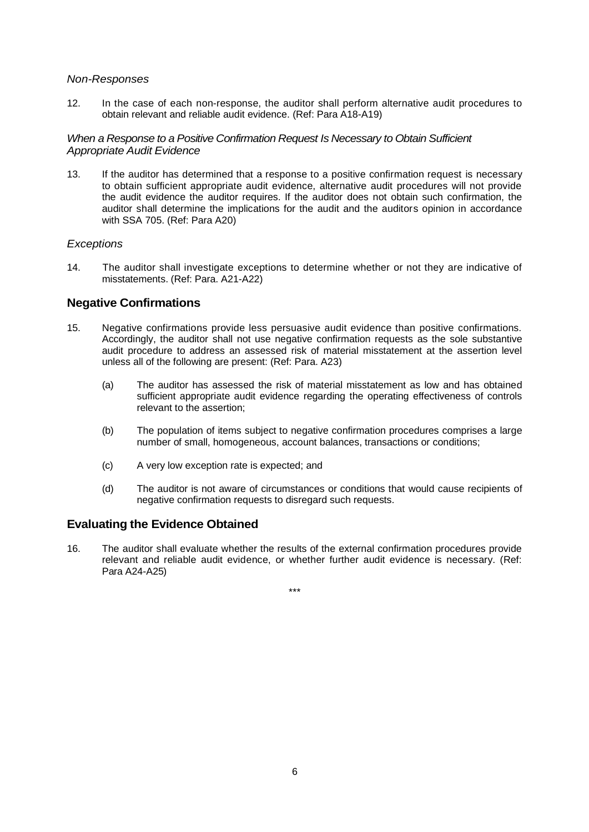#### *Non-Responses*

12. In the case of each non-response, the auditor shall perform alternative audit procedures to obtain relevant and reliable audit evidence. (Ref: Para A18-A19)

#### *When a Response to a Positive Confirmation Request Is Necessary to Obtain Sufficient Appropriate Audit Evidence*

13. If the auditor has determined that a response to a positive confirmation request is necessary to obtain sufficient appropriate audit evidence, alternative audit procedures will not provide the audit evidence the auditor requires. If the auditor does not obtain such confirmation, the auditor shall determine the implications for the audit and the auditors opinion in accordance with SSA 705. (Ref: Para A20)

#### *Exceptions*

14. The auditor shall investigate exceptions to determine whether or not they are indicative of misstatements. (Ref: Para. A21-A22)

#### **Negative Confirmations**

- 15. Negative confirmations provide less persuasive audit evidence than positive confirmations. Accordingly, the auditor shall not use negative confirmation requests as the sole substantive audit procedure to address an assessed risk of material misstatement at the assertion level unless all of the following are present: (Ref: Para. A23)
	- (a) The auditor has assessed the risk of material misstatement as low and has obtained sufficient appropriate audit evidence regarding the operating effectiveness of controls relevant to the assertion;
	- (b) The population of items subject to negative confirmation procedures comprises a large number of small, homogeneous, account balances, transactions or conditions;
	- (c) A very low exception rate is expected; and
	- (d) The auditor is not aware of circumstances or conditions that would cause recipients of negative confirmation requests to disregard such requests.

#### **Evaluating the Evidence Obtained**

16. The auditor shall evaluate whether the results of the external confirmation procedures provide relevant and reliable audit evidence, or whether further audit evidence is necessary. (Ref: Para A24-A25)

\*\*\*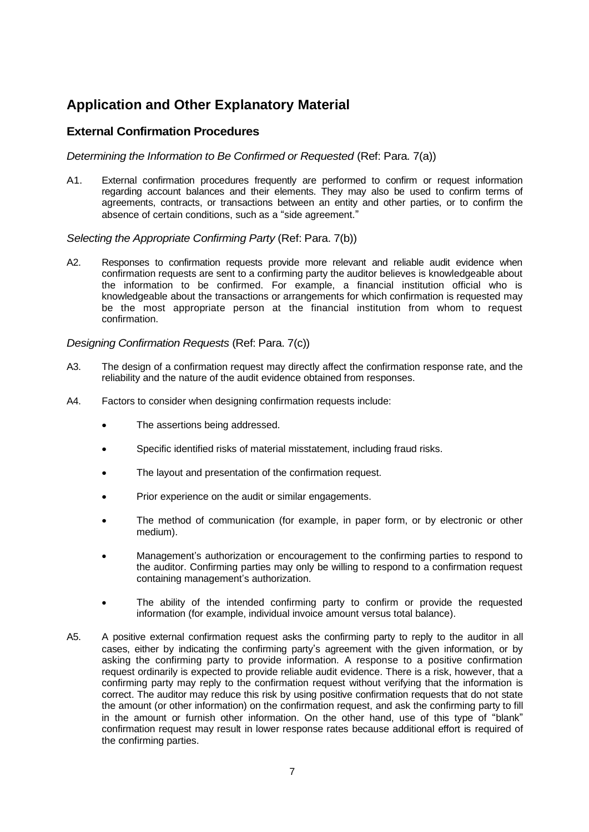# **Application and Other Explanatory Material**

#### **External Confirmation Procedures**

*Determining the Information to Be Confirmed or Requested* (Ref: Para. 7(a))

A1. External confirmation procedures frequently are performed to confirm or request information regarding account balances and their elements. They may also be used to confirm terms of agreements, contracts, or transactions between an entity and other parties, or to confirm the absence of certain conditions, such as a "side agreement."

#### *Selecting the Appropriate Confirming Party* (Ref: Para. 7(b))

A2. Responses to confirmation requests provide more relevant and reliable audit evidence when confirmation requests are sent to a confirming party the auditor believes is knowledgeable about the information to be confirmed. For example, a financial institution official who is knowledgeable about the transactions or arrangements for which confirmation is requested may be the most appropriate person at the financial institution from whom to request confirmation.

#### *Designing Confirmation Requests* (Ref: Para. 7(c))

- A3. The design of a confirmation request may directly affect the confirmation response rate, and the reliability and the nature of the audit evidence obtained from responses.
- A4. Factors to consider when designing confirmation requests include:
	- The assertions being addressed.
	- Specific identified risks of material misstatement, including fraud risks.
	- The layout and presentation of the confirmation request.
	- Prior experience on the audit or similar engagements.
	- The method of communication (for example, in paper form, or by electronic or other medium).
	- Management's authorization or encouragement to the confirming parties to respond to the auditor. Confirming parties may only be willing to respond to a confirmation request containing management's authorization.
	- The ability of the intended confirming party to confirm or provide the requested information (for example, individual invoice amount versus total balance).
- A5. A positive external confirmation request asks the confirming party to reply to the auditor in all cases, either by indicating the confirming party's agreement with the given information, or by asking the confirming party to provide information. A response to a positive confirmation request ordinarily is expected to provide reliable audit evidence. There is a risk, however, that a confirming party may reply to the confirmation request without verifying that the information is correct. The auditor may reduce this risk by using positive confirmation requests that do not state the amount (or other information) on the confirmation request, and ask the confirming party to fill in the amount or furnish other information. On the other hand, use of this type of "blank" confirmation request may result in lower response rates because additional effort is required of the confirming parties.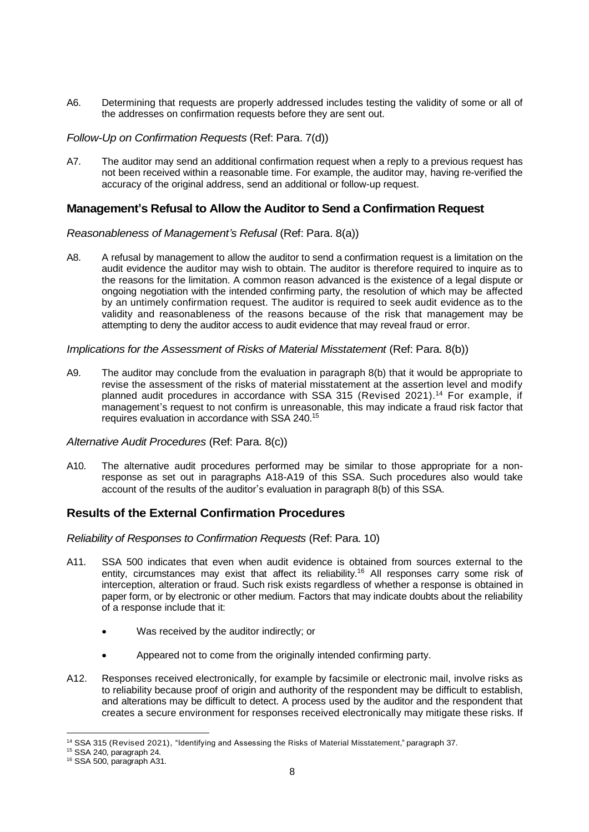A6. Determining that requests are properly addressed includes testing the validity of some or all of the addresses on confirmation requests before they are sent out.

#### *Follow-Up on Confirmation Requests* (Ref: Para. 7(d))

A7. The auditor may send an additional confirmation request when a reply to a previous request has not been received within a reasonable time. For example, the auditor may, having re-verified the accuracy of the original address, send an additional or follow-up request.

#### **Management's Refusal to Allow the Auditor to Send a Confirmation Request**

#### *Reasonableness of Management's Refusal* (Ref: Para. 8(a))

A8. A refusal by management to allow the auditor to send a confirmation request is a limitation on the audit evidence the auditor may wish to obtain. The auditor is therefore required to inquire as to the reasons for the limitation. A common reason advanced is the existence of a legal dispute or ongoing negotiation with the intended confirming party, the resolution of which may be affected by an untimely confirmation request. The auditor is required to seek audit evidence as to the validity and reasonableness of the reasons because of the risk that management may be attempting to deny the auditor access to audit evidence that may reveal fraud or error.

#### *Implications for the Assessment of Risks of Material Misstatement* (Ref: Para. 8(b))

A9. The auditor may conclude from the evaluation in paragraph 8(b) that it would be appropriate to revise the assessment of the risks of material misstatement at the assertion level and modify planned audit procedures in accordance with SSA 315 (Revised 2021). <sup>14</sup> For example, if management's request to not confirm is unreasonable, this may indicate a fraud risk factor that requires evaluation in accordance with SSA 240.<sup>15</sup>

#### *Alternative Audit Procedures* (Ref: Para. 8(c))

A10. The alternative audit procedures performed may be similar to those appropriate for a nonresponse as set out in paragraphs A18-A19 of this SSA. Such procedures also would take account of the results of the auditor's evaluation in paragraph 8(b) of this SSA.

#### **Results of the External Confirmation Procedures**

*Reliability of Responses to Confirmation Requests* (Ref: Para. 10)

- A11. SSA 500 indicates that even when audit evidence is obtained from sources external to the entity, circumstances may exist that affect its reliability.<sup>16</sup> All responses carry some risk of interception, alteration or fraud. Such risk exists regardless of whether a response is obtained in paper form, or by electronic or other medium. Factors that may indicate doubts about the reliability of a response include that it:
	- Was received by the auditor indirectly; or
	- Appeared not to come from the originally intended confirming party.
- A12. Responses received electronically, for example by facsimile or electronic mail, involve risks as to reliability because proof of origin and authority of the respondent may be difficult to establish, and alterations may be difficult to detect. A process used by the auditor and the respondent that creates a secure environment for responses received electronically may mitigate these risks. If

<sup>14</sup> SSA 315 (Revised 2021), "Identifying and Assessing the Risks of Material Misstatement," paragraph 37.

<sup>15</sup> SSA 240, paragraph 24.

<sup>16</sup> SSA 500, paragraph A31.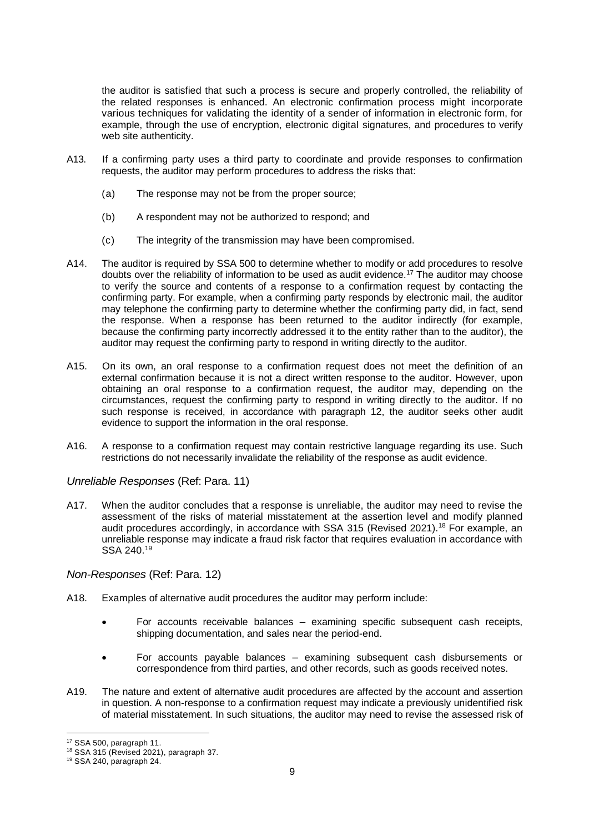the auditor is satisfied that such a process is secure and properly controlled, the reliability of the related responses is enhanced. An electronic confirmation process might incorporate various techniques for validating the identity of a sender of information in electronic form, for example, through the use of encryption, electronic digital signatures, and procedures to verify web site authenticity.

- A13. If a confirming party uses a third party to coordinate and provide responses to confirmation requests, the auditor may perform procedures to address the risks that:
	- (a) The response may not be from the proper source;
	- (b) A respondent may not be authorized to respond; and
	- (c) The integrity of the transmission may have been compromised.
- A14. The auditor is required by SSA 500 to determine whether to modify or add procedures to resolve doubts over the reliability of information to be used as audit evidence.<sup>17</sup> The auditor may choose to verify the source and contents of a response to a confirmation request by contacting the confirming party. For example, when a confirming party responds by electronic mail, the auditor may telephone the confirming party to determine whether the confirming party did, in fact, send the response. When a response has been returned to the auditor indirectly (for example, because the confirming party incorrectly addressed it to the entity rather than to the auditor), the auditor may request the confirming party to respond in writing directly to the auditor.
- A15. On its own, an oral response to a confirmation request does not meet the definition of an external confirmation because it is not a direct written response to the auditor. However, upon obtaining an oral response to a confirmation request, the auditor may, depending on the circumstances, request the confirming party to respond in writing directly to the auditor. If no such response is received, in accordance with paragraph 12, the auditor seeks other audit evidence to support the information in the oral response.
- A16. A response to a confirmation request may contain restrictive language regarding its use. Such restrictions do not necessarily invalidate the reliability of the response as audit evidence.

*Unreliable Responses* (Ref: Para. 11)

A17. When the auditor concludes that a response is unreliable, the auditor may need to revise the assessment of the risks of material misstatement at the assertion level and modify planned audit procedures accordingly, in accordance with SSA 315 (Revised 2021).<sup>18</sup> For example, an unreliable response may indicate a fraud risk factor that requires evaluation in accordance with SSA 240.<sup>19</sup>

*Non-Responses* (Ref: Para. 12)

- A18. Examples of alternative audit procedures the auditor may perform include:
	- For accounts receivable balances examining specific subsequent cash receipts, shipping documentation, and sales near the period-end.
	- For accounts payable balances examining subsequent cash disbursements or correspondence from third parties, and other records, such as goods received notes.
- A19. The nature and extent of alternative audit procedures are affected by the account and assertion in question. A non-response to a confirmation request may indicate a previously unidentified risk of material misstatement. In such situations, the auditor may need to revise the assessed risk of

<sup>17</sup> SSA 500, paragraph 11.

<sup>18</sup> SSA 315 (Revised 2021), paragraph 37.

<sup>19</sup> SSA 240, paragraph 24.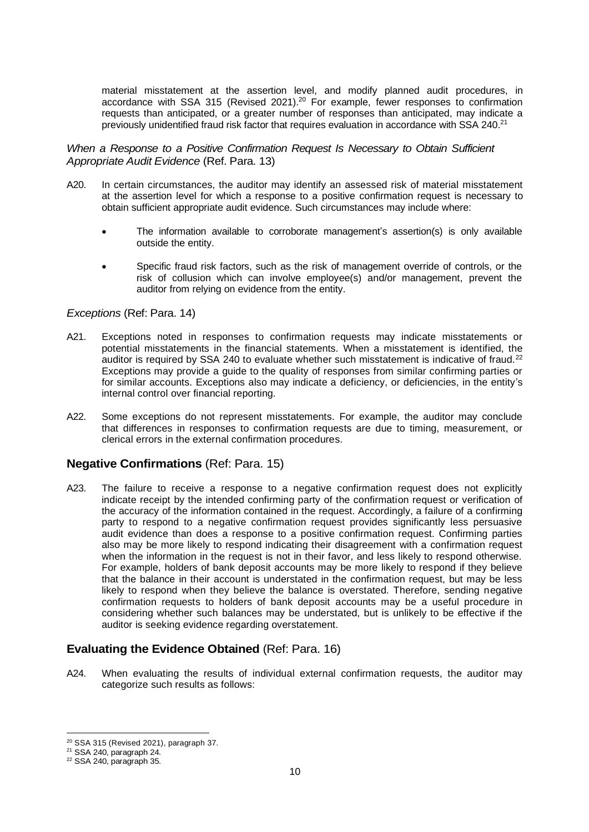material misstatement at the assertion level, and modify planned audit procedures, in accordance with SSA 315 (Revised 2021).<sup>20</sup> For example, fewer responses to confirmation requests than anticipated, or a greater number of responses than anticipated, may indicate a previously unidentified fraud risk factor that requires evaluation in accordance with SSA 240. $^{21}$ 

*When a Response to a Positive Confirmation Request Is Necessary to Obtain Sufficient Appropriate Audit Evidence* (Ref. Para. 13)

- A20. In certain circumstances, the auditor may identify an assessed risk of material misstatement at the assertion level for which a response to a positive confirmation request is necessary to obtain sufficient appropriate audit evidence. Such circumstances may include where:
	- The information available to corroborate management's assertion(s) is only available outside the entity.
	- Specific fraud risk factors, such as the risk of management override of controls, or the risk of collusion which can involve employee(s) and/or management, prevent the auditor from relying on evidence from the entity.

#### *Exceptions* (Ref: Para. 14)

- A21. Exceptions noted in responses to confirmation requests may indicate misstatements or potential misstatements in the financial statements. When a misstatement is identified, the auditor is required by SSA 240 to evaluate whether such misstatement is indicative of fraud.<sup>22</sup> Exceptions may provide a guide to the quality of responses from similar confirming parties or for similar accounts. Exceptions also may indicate a deficiency, or deficiencies, in the entity's internal control over financial reporting.
- A22. Some exceptions do not represent misstatements. For example, the auditor may conclude that differences in responses to confirmation requests are due to timing, measurement, or clerical errors in the external confirmation procedures.

#### **Negative Confirmations** (Ref: Para. 15)

A23. The failure to receive a response to a negative confirmation request does not explicitly indicate receipt by the intended confirming party of the confirmation request or verification of the accuracy of the information contained in the request. Accordingly, a failure of a confirming party to respond to a negative confirmation request provides significantly less persuasive audit evidence than does a response to a positive confirmation request. Confirming parties also may be more likely to respond indicating their disagreement with a confirmation request when the information in the request is not in their favor, and less likely to respond otherwise. For example, holders of bank deposit accounts may be more likely to respond if they believe that the balance in their account is understated in the confirmation request, but may be less likely to respond when they believe the balance is overstated. Therefore, sending negative confirmation requests to holders of bank deposit accounts may be a useful procedure in considering whether such balances may be understated, but is unlikely to be effective if the auditor is seeking evidence regarding overstatement.

### **Evaluating the Evidence Obtained** (Ref: Para. 16)

A24. When evaluating the results of individual external confirmation requests, the auditor may categorize such results as follows:

 $20$  SSA 315 (Revised 2021), paragraph 37.

<sup>&</sup>lt;sup>21</sup> SSA 240, paragraph 24.

<sup>22</sup> SSA 240, paragraph 35.